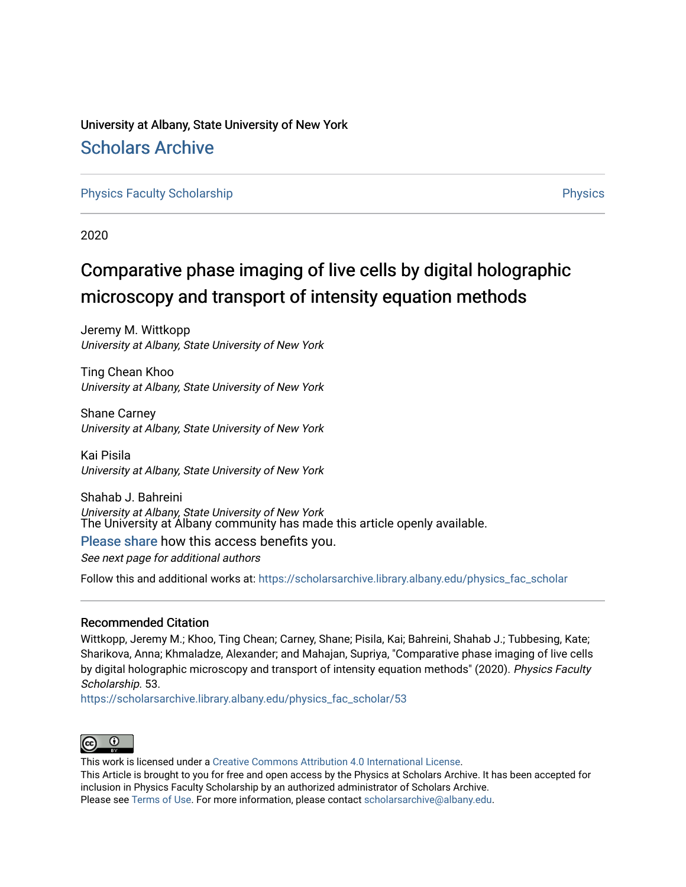# University at Albany, State University of New York [Scholars Archive](https://scholarsarchive.library.albany.edu/)

[Physics Faculty Scholarship](https://scholarsarchive.library.albany.edu/physics_fac_scholar) **Physics** [Physics](https://scholarsarchive.library.albany.edu/physics) **Physics** 

2020

# Comparative phase imaging of live cells by digital holographic microscopy and transport of intensity equation methods

Jeremy M. Wittkopp University at Albany, State University of New York

Ting Chean Khoo University at Albany, State University of New York

Shane Carney University at Albany, State University of New York

Kai Pisila University at Albany, State University of New York

Shahab J. Bahreini University at Albany, State University of New York The University at Albany community has made this article openly available.

## [Please share](https://albany.libwizard.com/f/open-access-feedback) how this access benefits you.

See next page for additional authors

Follow this and additional works at: [https://scholarsarchive.library.albany.edu/physics\\_fac\\_scholar](https://scholarsarchive.library.albany.edu/physics_fac_scholar?utm_source=scholarsarchive.library.albany.edu%2Fphysics_fac_scholar%2F53&utm_medium=PDF&utm_campaign=PDFCoverPages) 

## Recommended Citation

Wittkopp, Jeremy M.; Khoo, Ting Chean; Carney, Shane; Pisila, Kai; Bahreini, Shahab J.; Tubbesing, Kate; Sharikova, Anna; Khmaladze, Alexander; and Mahajan, Supriya, "Comparative phase imaging of live cells by digital holographic microscopy and transport of intensity equation methods" (2020). Physics Faculty Scholarship. 53.

[https://scholarsarchive.library.albany.edu/physics\\_fac\\_scholar/53](https://scholarsarchive.library.albany.edu/physics_fac_scholar/53?utm_source=scholarsarchive.library.albany.edu%2Fphysics_fac_scholar%2F53&utm_medium=PDF&utm_campaign=PDFCoverPages)



This work is licensed under a [Creative Commons Attribution 4.0 International License](https://creativecommons.org/licenses/by/4.0/). This Article is brought to you for free and open access by the Physics at Scholars Archive. It has been accepted for inclusion in Physics Faculty Scholarship by an authorized administrator of Scholars Archive. Please see [Terms of Use.](https://scholarsarchive.library.albany.edu/terms_of_use.html) For more information, please contact [scholarsarchive@albany.edu](mailto:scholarsarchive@albany.edu).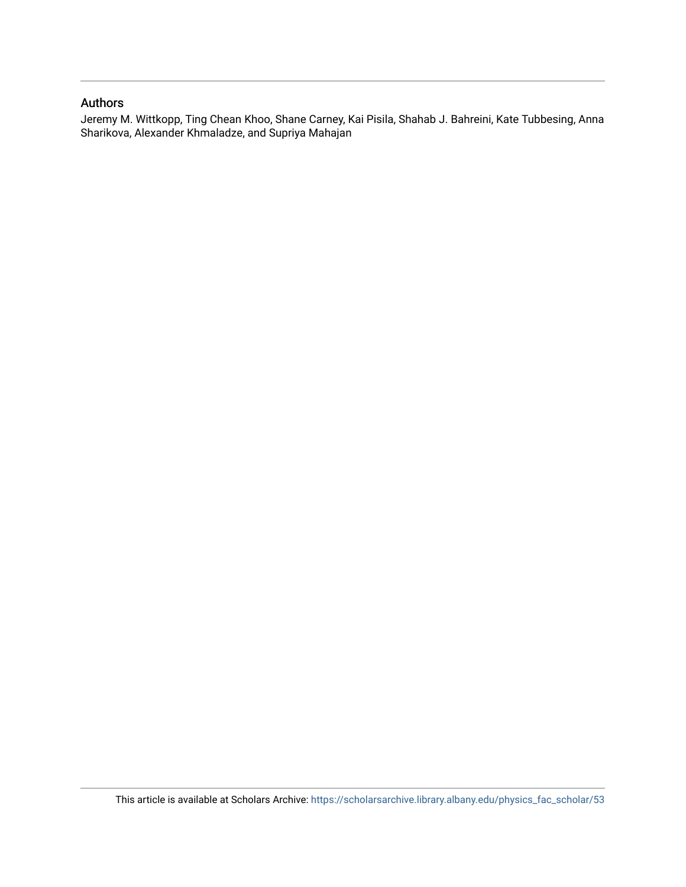## Authors

Jeremy M. Wittkopp, Ting Chean Khoo, Shane Carney, Kai Pisila, Shahab J. Bahreini, Kate Tubbesing, Anna Sharikova, Alexander Khmaladze, and Supriya Mahajan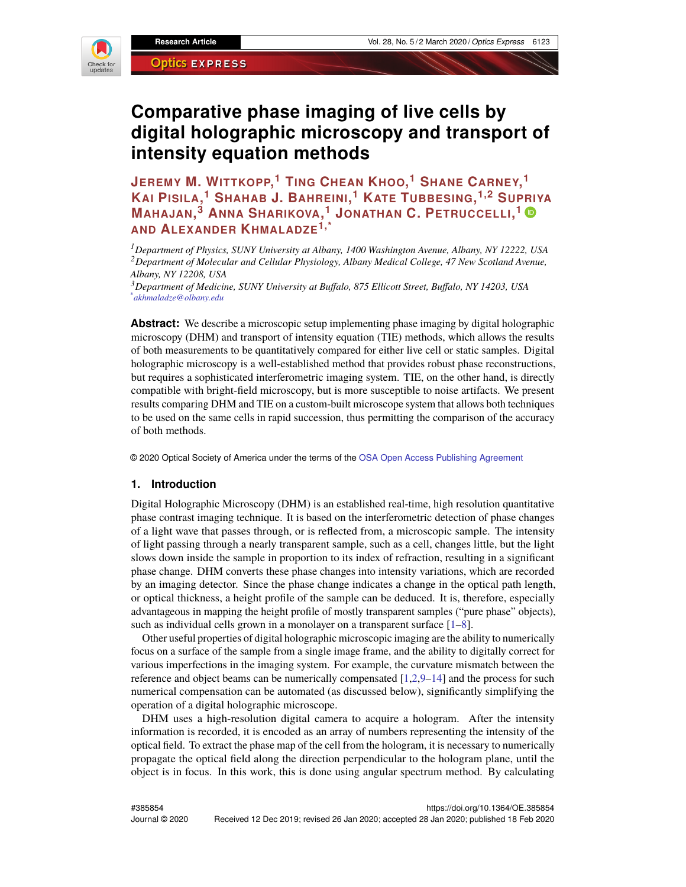

# **Comparative phase imaging of live cells by digital holographic microscopy and transport of intensity equation methods**

**JEREMY M. WITTKOPP, <sup>1</sup> TING CHEAN KHOO, <sup>1</sup> SHANE CARNEY, 1 KAI PISILA, <sup>1</sup> SHAHAB J. BAHREINI, <sup>1</sup> KATE TUBBESING, 1,2 SUPRIYA MAHAJAN, <sup>3</sup> ANNA SHARIKOVA, <sup>1</sup> JONATHAN C. PETRUCCELLI, 1 AND ALEXANDER KHMALADZE1,\***

*<sup>1</sup>Department of Physics, SUNY University at Albany, 1400 Washington Avenue, Albany, NY 12222, USA <sup>2</sup>Department of Molecular and Cellular Physiology, Albany Medical College, 47 New Scotland Avenue, Albany, NY 12208, USA*

*<sup>3</sup>Department of Medicine, SUNY University at Buffalo, 875 Ellicott Street, Buffalo, NY 14203, USA \*akhmaladze@olbany.edu*

**Abstract:** We describe a microscopic setup implementing phase imaging by digital holographic microscopy (DHM) and transport of intensity equation (TIE) methods, which allows the results of both measurements to be quantitatively compared for either live cell or static samples. Digital holographic microscopy is a well-established method that provides robust phase reconstructions, but requires a sophisticated interferometric imaging system. TIE, on the other hand, is directly compatible with bright-field microscopy, but is more susceptible to noise artifacts. We present results comparing DHM and TIE on a custom-built microscope system that allows both techniques to be used on the same cells in rapid succession, thus permitting the comparison of the accuracy of both methods.

© 2020 Optical Society of America under the terms of the [OSA Open Access Publishing Agreement](https://doi.org/10.1364/OA_License_v1)

#### **1. Introduction**

Digital Holographic Microscopy (DHM) is an established real-time, high resolution quantitative phase contrast imaging technique. It is based on the interferometric detection of phase changes of a light wave that passes through, or is reflected from, a microscopic sample. The intensity of light passing through a nearly transparent sample, such as a cell, changes little, but the light slows down inside the sample in proportion to its index of refraction, resulting in a significant phase change. DHM converts these phase changes into intensity variations, which are recorded by an imaging detector. Since the phase change indicates a change in the optical path length, or optical thickness, a height profile of the sample can be deduced. It is, therefore, especially advantageous in mapping the height profile of mostly transparent samples ("pure phase" objects), such as individual cells grown in a monolayer on a transparent surface [\[1–](#page-10-0)[8\]](#page-11-0).

Other useful properties of digital holographic microscopic imaging are the ability to numerically focus on a surface of the sample from a single image frame, and the ability to digitally correct for various imperfections in the imaging system. For example, the curvature mismatch between the reference and object beams can be numerically compensated [\[1](#page-10-0)[,2,](#page-11-1)[9](#page-11-2)[–14\]](#page-11-3) and the process for such numerical compensation can be automated (as discussed below), significantly simplifying the operation of a digital holographic microscope.

DHM uses a high-resolution digital camera to acquire a hologram. After the intensity information is recorded, it is encoded as an array of numbers representing the intensity of the optical field. To extract the phase map of the cell from the hologram, it is necessary to numerically propagate the optical field along the direction perpendicular to the hologram plane, until the object is in focus. In this work, this is done using angular spectrum method. By calculating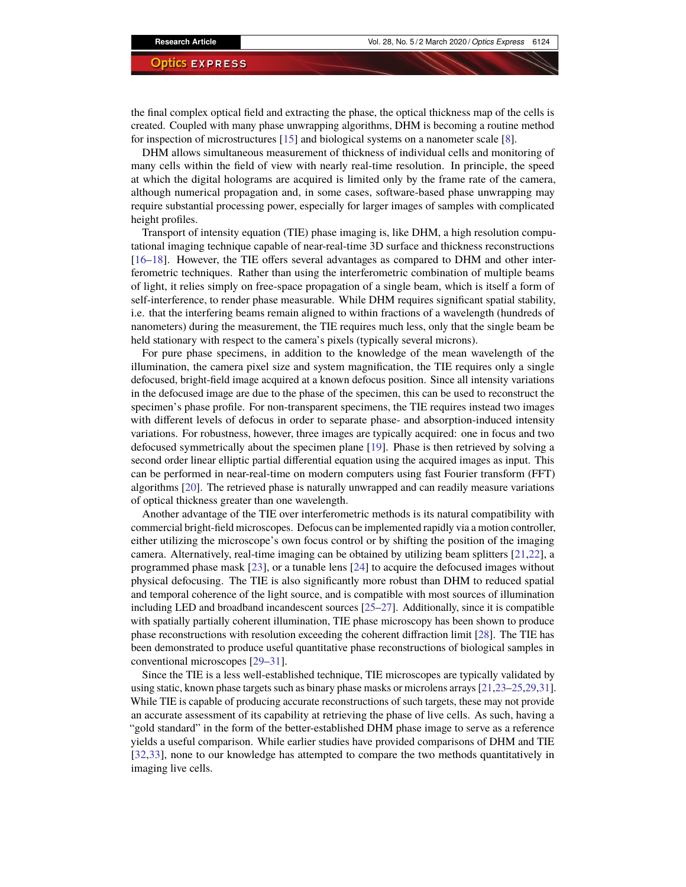the final complex optical field and extracting the phase, the optical thickness map of the cells is created. Coupled with many phase unwrapping algorithms, DHM is becoming a routine method for inspection of microstructures [\[15\]](#page-11-4) and biological systems on a nanometer scale [\[8\]](#page-11-0).

DHM allows simultaneous measurement of thickness of individual cells and monitoring of many cells within the field of view with nearly real-time resolution. In principle, the speed at which the digital holograms are acquired is limited only by the frame rate of the camera, although numerical propagation and, in some cases, software-based phase unwrapping may require substantial processing power, especially for larger images of samples with complicated height profiles.

Transport of intensity equation (TIE) phase imaging is, like DHM, a high resolution computational imaging technique capable of near-real-time 3D surface and thickness reconstructions [\[16–](#page-11-5)[18\]](#page-11-6). However, the TIE offers several advantages as compared to DHM and other interferometric techniques. Rather than using the interferometric combination of multiple beams of light, it relies simply on free-space propagation of a single beam, which is itself a form of self-interference, to render phase measurable. While DHM requires significant spatial stability, i.e. that the interfering beams remain aligned to within fractions of a wavelength (hundreds of nanometers) during the measurement, the TIE requires much less, only that the single beam be held stationary with respect to the camera's pixels (typically several microns).

For pure phase specimens, in addition to the knowledge of the mean wavelength of the illumination, the camera pixel size and system magnification, the TIE requires only a single defocused, bright-field image acquired at a known defocus position. Since all intensity variations in the defocused image are due to the phase of the specimen, this can be used to reconstruct the specimen's phase profile. For non-transparent specimens, the TIE requires instead two images with different levels of defocus in order to separate phase- and absorption-induced intensity variations. For robustness, however, three images are typically acquired: one in focus and two defocused symmetrically about the specimen plane [\[19\]](#page-11-7). Phase is then retrieved by solving a second order linear elliptic partial differential equation using the acquired images as input. This can be performed in near-real-time on modern computers using fast Fourier transform (FFT) algorithms [\[20\]](#page-11-8). The retrieved phase is naturally unwrapped and can readily measure variations of optical thickness greater than one wavelength.

Another advantage of the TIE over interferometric methods is its natural compatibility with commercial bright-field microscopes. Defocus can be implemented rapidly via a motion controller, either utilizing the microscope's own focus control or by shifting the position of the imaging camera. Alternatively, real-time imaging can be obtained by utilizing beam splitters [\[21,](#page-11-9)[22\]](#page-11-10), a programmed phase mask [\[23\]](#page-11-11), or a tunable lens [\[24\]](#page-11-12) to acquire the defocused images without physical defocusing. The TIE is also significantly more robust than DHM to reduced spatial and temporal coherence of the light source, and is compatible with most sources of illumination including LED and broadband incandescent sources [\[25](#page-11-13)[–27\]](#page-11-14). Additionally, since it is compatible with spatially partially coherent illumination, TIE phase microscopy has been shown to produce phase reconstructions with resolution exceeding the coherent diffraction limit [\[28\]](#page-11-15). The TIE has been demonstrated to produce useful quantitative phase reconstructions of biological samples in conventional microscopes [\[29–](#page-11-16)[31\]](#page-12-0).

Since the TIE is a less well-established technique, TIE microscopes are typically validated by using static, known phase targets such as binary phase masks or microlens arrays [\[21](#page-11-9)[,23–](#page-11-11)[25,](#page-11-13)[29](#page-11-16)[,31\]](#page-12-0). While TIE is capable of producing accurate reconstructions of such targets, these may not provide an accurate assessment of its capability at retrieving the phase of live cells. As such, having a "gold standard" in the form of the better-established DHM phase image to serve as a reference yields a useful comparison. While earlier studies have provided comparisons of DHM and TIE [\[32,](#page-12-1)[33\]](#page-12-2), none to our knowledge has attempted to compare the two methods quantitatively in imaging live cells.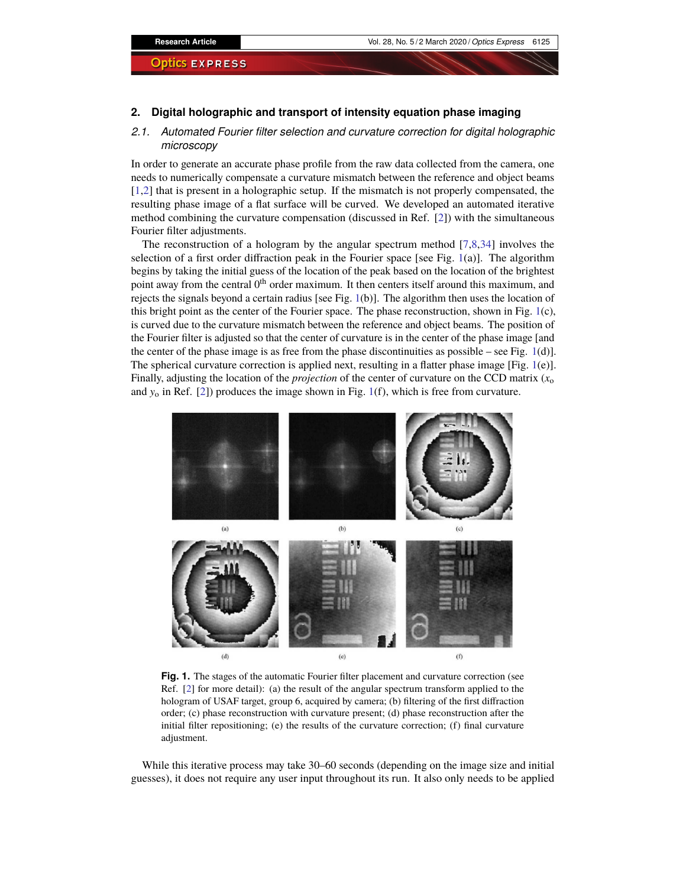#### **2. Digital holographic and transport of intensity equation phase imaging**

### *2.1. Automated Fourier filter selection and curvature correction for digital holographic microscopy*

In order to generate an accurate phase profile from the raw data collected from the camera, one needs to numerically compensate a curvature mismatch between the reference and object beams [\[1](#page-10-0)[,2\]](#page-11-1) that is present in a holographic setup. If the mismatch is not properly compensated, the resulting phase image of a flat surface will be curved. We developed an automated iterative method combining the curvature compensation (discussed in Ref. [\[2\]](#page-11-1)) with the simultaneous Fourier filter adjustments.

The reconstruction of a hologram by the angular spectrum method [\[7](#page-11-17)[,8,](#page-11-0)[34\]](#page-12-3) involves the selection of a first order diffraction peak in the Fourier space [see Fig. [1\(](#page-4-0)a)]. The algorithm begins by taking the initial guess of the location of the peak based on the location of the brightest point away from the central  $0<sup>th</sup>$  order maximum. It then centers itself around this maximum, and rejects the signals beyond a certain radius [see Fig. [1\(](#page-4-0)b)]. The algorithm then uses the location of this bright point as the center of the Fourier space. The phase reconstruction, shown in Fig. [1\(](#page-4-0)c), is curved due to the curvature mismatch between the reference and object beams. The position of the Fourier filter is adjusted so that the center of curvature is in the center of the phase image [and the center of the phase image is as free from the phase discontinuities as possible – see Fig.  $1(d)$  $1(d)$ ]. The spherical curvature correction is applied next, resulting in a flatter phase image [Fig. [1\(](#page-4-0)e)]. Finally, adjusting the location of the *projection* of the center of curvature on the CCD matrix  $(x_0)$ and  $y_0$  in Ref. [\[2\]](#page-11-1)) produces the image shown in Fig. [1\(](#page-4-0)f), which is free from curvature.



<span id="page-4-0"></span>**Fig. 1.** The stages of the automatic Fourier filter placement and curvature correction (see Ref. [\[2\]](#page-11-1) for more detail): (a) the result of the angular spectrum transform applied to the hologram of USAF target, group 6, acquired by camera; (b) filtering of the first diffraction order; (c) phase reconstruction with curvature present; (d) phase reconstruction after the initial filter repositioning; (e) the results of the curvature correction; (f) final curvature adjustment.

While this iterative process may take 30–60 seconds (depending on the image size and initial guesses), it does not require any user input throughout its run. It also only needs to be applied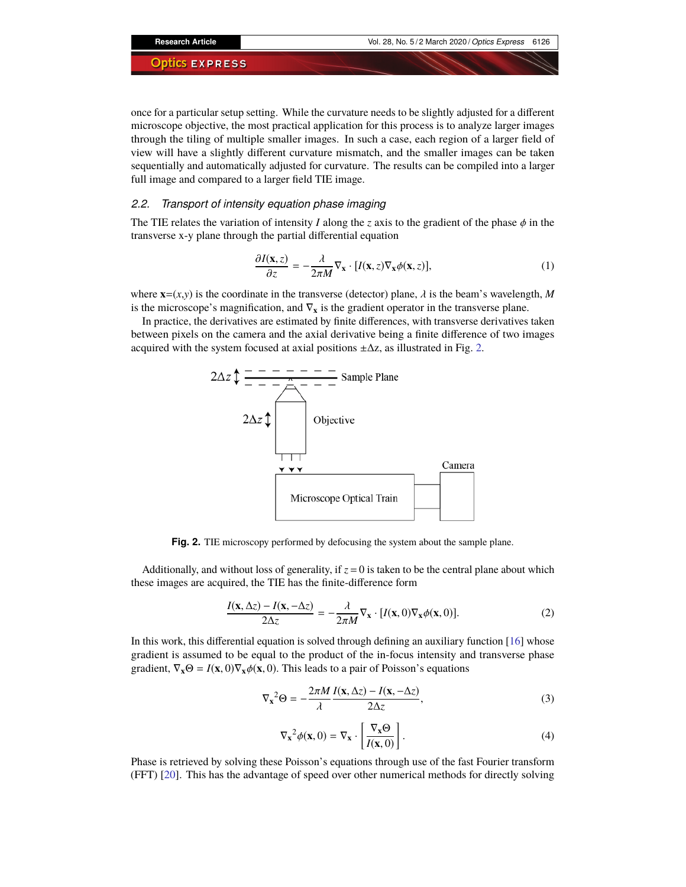once for a particular setup setting. While the curvature needs to be slightly adjusted for a different microscope objective, the most practical application for this process is to analyze larger images through the tiling of multiple smaller images. In such a case, each region of a larger field of view will have a slightly different curvature mismatch, and the smaller images can be taken sequentially and automatically adjusted for curvature. The results can be compiled into a larger full image and compared to a larger field TIE image.

#### *2.2. Transport of intensity equation phase imaging*

The TIE relates the variation of intensity *I* along the *z* axis to the gradient of the phase  $\phi$  in the transverse x-y plane through the partial differential equation

$$
\frac{\partial I(\mathbf{x}, z)}{\partial z} = -\frac{\lambda}{2\pi M} \nabla_{\mathbf{x}} \cdot [I(\mathbf{x}, z) \nabla_{\mathbf{x}} \phi(\mathbf{x}, z)],\tag{1}
$$

where  $\mathbf{x}=(x,y)$  is the coordinate in the transverse (detector) plane,  $\lambda$  is the beam's wavelength, *M* is the microscope's magnification, and ∇**<sup>x</sup>** is the gradient operator in the transverse plane.

In practice, the derivatives are estimated by finite differences, with transverse derivatives taken between pixels on the camera and the axial derivative being a finite difference of two images acquired with the system focused at axial positions  $\pm \Delta z$ , as illustrated in Fig. [2.](#page-5-0)



<span id="page-5-0"></span>**Fig. 2.** TIE microscopy performed by defocusing the system about the sample plane.

Additionally, and without loss of generality, if  $z = 0$  is taken to be the central plane about which these images are acquired, the TIE has the finite-difference form

$$
\frac{I(\mathbf{x}, \Delta z) - I(\mathbf{x}, -\Delta z)}{2\Delta z} = -\frac{\lambda}{2\pi M} \nabla_{\mathbf{x}} \cdot [I(\mathbf{x}, 0) \nabla_{\mathbf{x}} \phi(\mathbf{x}, 0)].
$$
\n(2)

In this work, this differential equation is solved through defining an auxiliary function [\[16\]](#page-11-5) whose gradient is assumed to be equal to the product of the in-focus intensity and transverse phase gradient,  $\nabla_{\mathbf{x}} \Theta = I(\mathbf{x},0) \nabla_{\mathbf{x}} \phi(\mathbf{x},0)$ . This leads to a pair of Poisson's equations

$$
\nabla_{\mathbf{x}}^2 \Theta = -\frac{2\pi M}{\lambda} \frac{I(\mathbf{x}, \Delta z) - I(\mathbf{x}, -\Delta z)}{2\Delta z},
$$
 (3)

$$
\nabla_{\mathbf{x}}^2 \phi(\mathbf{x}, 0) = \nabla_{\mathbf{x}} \cdot \left[ \frac{\nabla_{\mathbf{x}} \Theta}{I(\mathbf{x}, 0)} \right]. \tag{4}
$$

Phase is retrieved by solving these Poisson's equations through use of the fast Fourier transform (FFT) [\[20\]](#page-11-8). This has the advantage of speed over other numerical methods for directly solving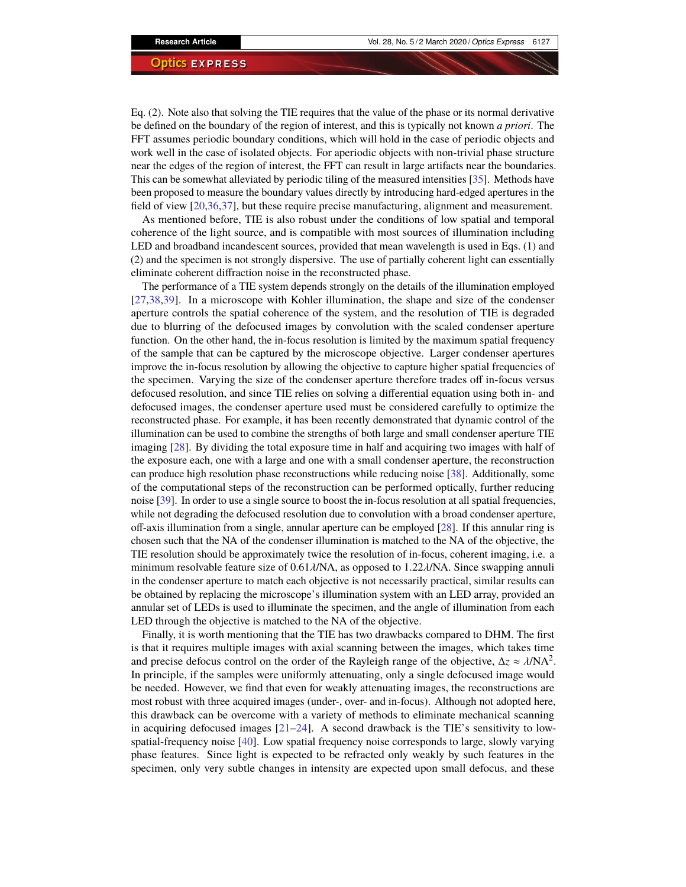Eq. (2). Note also that solving the TIE requires that the value of the phase or its normal derivative be defined on the boundary of the region of interest, and this is typically not known *a priori*. The FFT assumes periodic boundary conditions, which will hold in the case of periodic objects and work well in the case of isolated objects. For aperiodic objects with non-trivial phase structure near the edges of the region of interest, the FFT can result in large artifacts near the boundaries. This can be somewhat alleviated by periodic tiling of the measured intensities [\[35\]](#page-12-4). Methods have been proposed to measure the boundary values directly by introducing hard-edged apertures in the field of view [\[20](#page-11-8)[,36](#page-12-5)[,37\]](#page-12-6), but these require precise manufacturing, alignment and measurement.

As mentioned before, TIE is also robust under the conditions of low spatial and temporal coherence of the light source, and is compatible with most sources of illumination including LED and broadband incandescent sources, provided that mean wavelength is used in Eqs. (1) and (2) and the specimen is not strongly dispersive. The use of partially coherent light can essentially eliminate coherent diffraction noise in the reconstructed phase.

The performance of a TIE system depends strongly on the details of the illumination employed [\[27,](#page-11-14)[38](#page-12-7)[,39\]](#page-12-8). In a microscope with Kohler illumination, the shape and size of the condenser aperture controls the spatial coherence of the system, and the resolution of TIE is degraded due to blurring of the defocused images by convolution with the scaled condenser aperture function. On the other hand, the in-focus resolution is limited by the maximum spatial frequency of the sample that can be captured by the microscope objective. Larger condenser apertures improve the in-focus resolution by allowing the objective to capture higher spatial frequencies of the specimen. Varying the size of the condenser aperture therefore trades off in-focus versus defocused resolution, and since TIE relies on solving a differential equation using both in- and defocused images, the condenser aperture used must be considered carefully to optimize the reconstructed phase. For example, it has been recently demonstrated that dynamic control of the illumination can be used to combine the strengths of both large and small condenser aperture TIE imaging [\[28\]](#page-11-15). By dividing the total exposure time in half and acquiring two images with half of the exposure each, one with a large and one with a small condenser aperture, the reconstruction can produce high resolution phase reconstructions while reducing noise [\[38\]](#page-12-7). Additionally, some of the computational steps of the reconstruction can be performed optically, further reducing noise [\[39\]](#page-12-8). In order to use a single source to boost the in-focus resolution at all spatial frequencies, while not degrading the defocused resolution due to convolution with a broad condenser aperture, off-axis illumination from a single, annular aperture can be employed [\[28\]](#page-11-15). If this annular ring is chosen such that the NA of the condenser illumination is matched to the NA of the objective, the TIE resolution should be approximately twice the resolution of in-focus, coherent imaging, i.e. a minimum resolvable feature size of  $0.61\lambda/NA$ , as opposed to  $1.22\lambda/NA$ . Since swapping annuli in the condenser aperture to match each objective is not necessarily practical, similar results can be obtained by replacing the microscope's illumination system with an LED array, provided an annular set of LEDs is used to illuminate the specimen, and the angle of illumination from each LED through the objective is matched to the NA of the objective.

Finally, it is worth mentioning that the TIE has two drawbacks compared to DHM. The first is that it requires multiple images with axial scanning between the images, which takes time and precise defocus control on the order of the Rayleigh range of the objective,  $\Delta z \approx \lambda/NA^2$ .<br>In principle, if the samples were uniformly attenuating, only a single defocused image would In principle, if the samples were uniformly attenuating, only a single defocused image would be needed. However, we find that even for weakly attenuating images, the reconstructions are most robust with three acquired images (under-, over- and in-focus). Although not adopted here, this drawback can be overcome with a variety of methods to eliminate mechanical scanning in acquiring defocused images  $[21-24]$  $[21-24]$ . A second drawback is the TIE's sensitivity to lowspatial-frequency noise [\[40\]](#page-12-9). Low spatial frequency noise corresponds to large, slowly varying phase features. Since light is expected to be refracted only weakly by such features in the specimen, only very subtle changes in intensity are expected upon small defocus, and these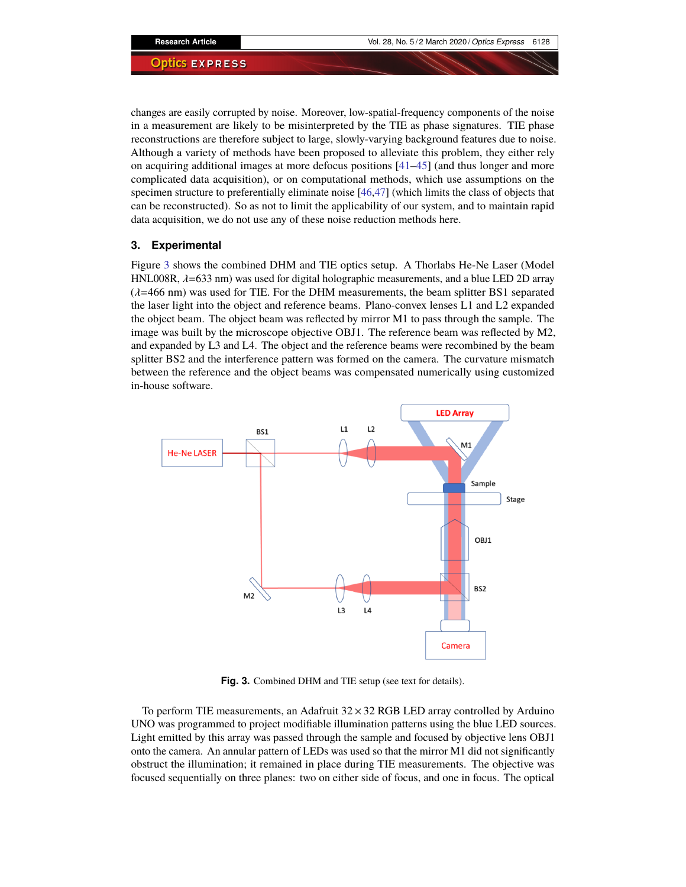changes are easily corrupted by noise. Moreover, low-spatial-frequency components of the noise in a measurement are likely to be misinterpreted by the TIE as phase signatures. TIE phase reconstructions are therefore subject to large, slowly-varying background features due to noise. Although a variety of methods have been proposed to alleviate this problem, they either rely on acquiring additional images at more defocus positions [\[41](#page-12-10)[–45\]](#page-12-11) (and thus longer and more complicated data acquisition), or on computational methods, which use assumptions on the specimen structure to preferentially eliminate noise [\[46,](#page-12-12)[47\]](#page-12-13) (which limits the class of objects that can be reconstructed). So as not to limit the applicability of our system, and to maintain rapid data acquisition, we do not use any of these noise reduction methods here.

### **3. Experimental**

Figure [3](#page-7-0) shows the combined DHM and TIE optics setup. A Thorlabs He-Ne Laser (Model HNL008R,  $\lambda$ =633 nm) was used for digital holographic measurements, and a blue LED 2D array  $(\lambda=466 \text{ nm})$  was used for TIE. For the DHM measurements, the beam splitter BS1 separated the laser light into the object and reference beams. Plano-convex lenses L1 and L2 expanded the object beam. The object beam was reflected by mirror M1 to pass through the sample. The image was built by the microscope objective OBJ1. The reference beam was reflected by M2, and expanded by L3 and L4. The object and the reference beams were recombined by the beam splitter BS2 and the interference pattern was formed on the camera. The curvature mismatch between the reference and the object beams was compensated numerically using customized in-house software.



<span id="page-7-0"></span>**Fig. 3.** Combined DHM and TIE setup (see text for details).

To perform TIE measurements, an Adafruit  $32 \times 32$  RGB LED array controlled by Arduino UNO was programmed to project modifiable illumination patterns using the blue LED sources. Light emitted by this array was passed through the sample and focused by objective lens OBJ1 onto the camera. An annular pattern of LEDs was used so that the mirror M1 did not significantly obstruct the illumination; it remained in place during TIE measurements. The objective was focused sequentially on three planes: two on either side of focus, and one in focus. The optical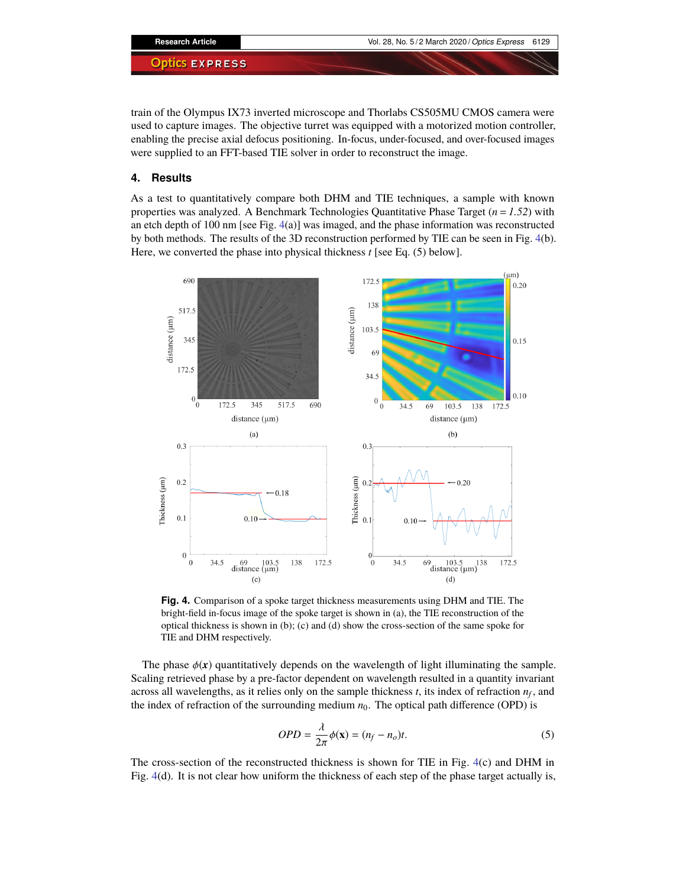train of the Olympus IX73 inverted microscope and Thorlabs CS505MU CMOS camera were used to capture images. The objective turret was equipped with a motorized motion controller, enabling the precise axial defocus positioning. In-focus, under-focused, and over-focused images were supplied to an FFT-based TIE solver in order to reconstruct the image.

### **4. Results**

As a test to quantitatively compare both DHM and TIE techniques, a sample with known properties was analyzed. A Benchmark Technologies Quantitative Phase Target  $(n = 1.52)$  with an etch depth of 100 nm [see Fig. [4\(](#page-8-0)a)] was imaged, and the phase information was reconstructed by both methods. The results of the 3D reconstruction performed by TIE can be seen in Fig. [4\(](#page-8-0)b). Here, we converted the phase into physical thickness *t* [see Eq. (5) below].



<span id="page-8-0"></span>**Fig. 4.** Comparison of a spoke target thickness measurements using DHM and TIE. The bright-field in-focus image of the spoke target is shown in (a), the TIE reconstruction of the optical thickness is shown in (b); (c) and (d) show the cross-section of the same spoke for TIE and DHM respectively.

The phase  $\phi(x)$  quantitatively depends on the wavelength of light illuminating the sample. Scaling retrieved phase by a pre-factor dependent on wavelength resulted in a quantity invariant across all wavelengths, as it relies only on the sample thickness *t*, its index of refraction *n<sup>f</sup>* , and the index of refraction of the surrounding medium  $n_0$ . The optical path difference (OPD) is

$$
OPD = \frac{\lambda}{2\pi} \phi(\mathbf{x}) = (n_f - n_o)t.
$$
\n(5)

The cross-section of the reconstructed thickness is shown for TIE in Fig. [4\(](#page-8-0)c) and DHM in Fig. [4\(](#page-8-0)d). It is not clear how uniform the thickness of each step of the phase target actually is,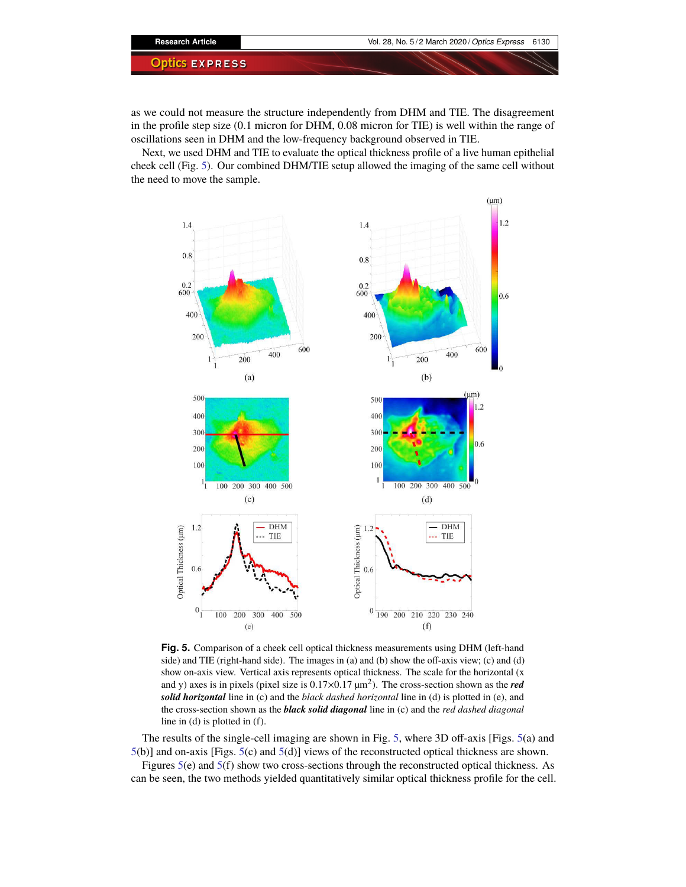as we could not measure the structure independently from DHM and TIE. The disagreement in the profile step size (0.1 micron for DHM, 0.08 micron for TIE) is well within the range of oscillations seen in DHM and the low-frequency background observed in TIE.

Next, we used DHM and TIE to evaluate the optical thickness profile of a live human epithelial cheek cell (Fig. [5\)](#page-9-0). Our combined DHM/TIE setup allowed the imaging of the same cell without the need to move the sample.



<span id="page-9-0"></span>**Fig. 5.** Comparison of a cheek cell optical thickness measurements using DHM (left-hand side) and TIE (right-hand side). The images in (a) and (b) show the off-axis view; (c) and (d) show on-axis view. Vertical axis represents optical thickness. The scale for the horizontal (x and y) axes is in pixels (pixel size is 0.17×0.17 µm<sup>2</sup> ). The cross-section shown as the *red solid horizontal* line in (c) and the *black dashed horizontal* line in (d) is plotted in (e), and the cross-section shown as the *black solid diagonal* line in (c) and the *red dashed diagonal* line in (d) is plotted in (f).

The results of the single-cell imaging are shown in Fig. [5,](#page-9-0) where 3D off-axis [Figs. [5\(](#page-9-0)a) and [5\(](#page-9-0)b)] and on-axis [Figs. [5\(](#page-9-0)c) and [5\(](#page-9-0)d)] views of the reconstructed optical thickness are shown.

Figures  $5(e)$  $5(e)$  and  $5(f)$  show two cross-sections through the reconstructed optical thickness. As can be seen, the two methods yielded quantitatively similar optical thickness profile for the cell.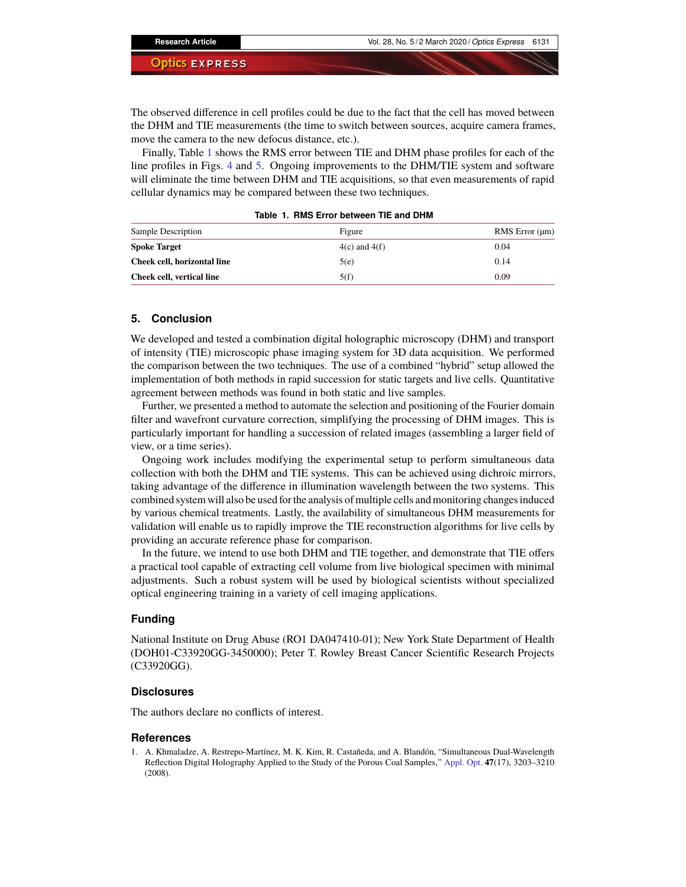The observed difference in cell profiles could be due to the fact that the cell has moved between the DHM and TIE measurements (the time to switch between sources, acquire camera frames, move the camera to the new defocus distance, etc.).

Finally, Table [1](#page-10-1) shows the RMS error between TIE and DHM phase profiles for each of the line profiles in Figs. [4](#page-8-0) and [5.](#page-9-0) Ongoing improvements to the DHM/TIE system and software will eliminate the time between DHM and TIE acquisitions, so that even measurements of rapid cellular dynamics may be compared between these two techniques.

| Sample Description          | Figure            | RMS Error $(\mu m)$ |
|-----------------------------|-------------------|---------------------|
| <b>Spoke Target</b>         | $4(c)$ and $4(f)$ | 0.04                |
| Cheek cell, horizontal line | 5(e)              | 0.14                |
| Cheek cell, vertical line   | 5(f)              | 0.09                |

<span id="page-10-1"></span>**Table 1. RMS Error between TIE and DHM**

#### **5. Conclusion**

We developed and tested a combination digital holographic microscopy (DHM) and transport of intensity (TIE) microscopic phase imaging system for 3D data acquisition. We performed the comparison between the two techniques. The use of a combined "hybrid" setup allowed the implementation of both methods in rapid succession for static targets and live cells. Quantitative agreement between methods was found in both static and live samples.

Further, we presented a method to automate the selection and positioning of the Fourier domain filter and wavefront curvature correction, simplifying the processing of DHM images. This is particularly important for handling a succession of related images (assembling a larger field of view, or a time series).

Ongoing work includes modifying the experimental setup to perform simultaneous data collection with both the DHM and TIE systems. This can be achieved using dichroic mirrors, taking advantage of the difference in illumination wavelength between the two systems. This combined system will also be used for the analysis of multiple cells and monitoring changes induced by various chemical treatments. Lastly, the availability of simultaneous DHM measurements for validation will enable us to rapidly improve the TIE reconstruction algorithms for live cells by providing an accurate reference phase for comparison.

In the future, we intend to use both DHM and TIE together, and demonstrate that TIE offers a practical tool capable of extracting cell volume from live biological specimen with minimal adjustments. Such a robust system will be used by biological scientists without specialized optical engineering training in a variety of cell imaging applications.

### **Funding**

National Institute on Drug Abuse (RO1 DA047410-01); New York State Department of Health (DOH01-C33920GG-3450000); Peter T. Rowley Breast Cancer Scientific Research Projects (C33920GG).

#### **Disclosures**

The authors declare no conflicts of interest.

#### **References**

<span id="page-10-0"></span>1. A. Khmaladze, A. Restrepo-Martínez, M. K. Kim, R. Castañeda, and A. Blandón, "Simultaneous Dual-Wavelength Reflection Digital Holography Applied to the Study of the Porous Coal Samples," [Appl. Opt.](https://doi.org/10.1364/AO.47.003203) **47**(17), 3203–3210 (2008).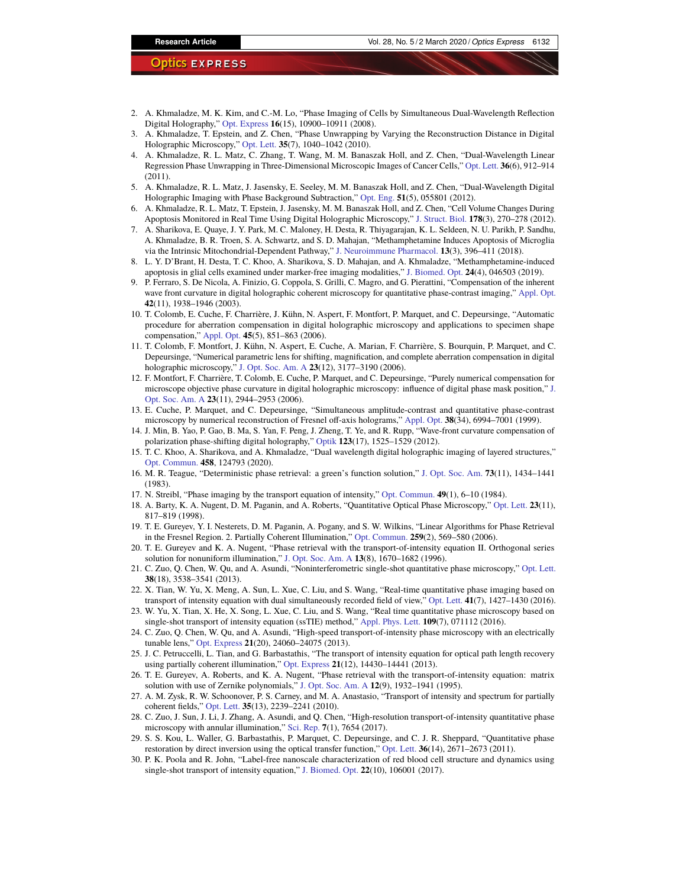- <span id="page-11-1"></span>2. A. Khmaladze, M. K. Kim, and C.-M. Lo, "Phase Imaging of Cells by Simultaneous Dual-Wavelength Reflection Digital Holography," [Opt. Express](https://doi.org/10.1364/OE.16.010900) **16**(15), 10900–10911 (2008).
- 3. A. Khmaladze, T. Epstein, and Z. Chen, "Phase Unwrapping by Varying the Reconstruction Distance in Digital Holographic Microscopy," [Opt. Lett.](https://doi.org/10.1364/OL.35.001040) **35**(7), 1040–1042 (2010).
- 4. A. Khmaladze, R. L. Matz, C. Zhang, T. Wang, M. M. Banaszak Holl, and Z. Chen, "Dual-Wavelength Linear Regression Phase Unwrapping in Three-Dimensional Microscopic Images of Cancer Cells," [Opt. Lett.](https://doi.org/10.1364/OL.36.000912) **36**(6), 912–914 (2011).
- 5. A. Khmaladze, R. L. Matz, J. Jasensky, E. Seeley, M. M. Banaszak Holl, and Z. Chen, "Dual-Wavelength Digital Holographic Imaging with Phase Background Subtraction," [Opt. Eng.](https://doi.org/10.1117/1.OE.51.5.055801) **51**(5), 055801 (2012).
- 6. A. Khmaladze, R. L. Matz, T. Epstein, J. Jasensky, M. M. Banaszak Holl, and Z. Chen, "Cell Volume Changes During Apoptosis Monitored in Real Time Using Digital Holographic Microscopy," [J. Struct. Biol.](https://doi.org/10.1016/j.jsb.2012.03.008) **178**(3), 270–278 (2012).
- <span id="page-11-17"></span>7. A. Sharikova, E. Quaye, J. Y. Park, M. C. Maloney, H. Desta, R. Thiyagarajan, K. L. Seldeen, N. U. Parikh, P. Sandhu, A. Khmaladze, B. R. Troen, S. A. Schwartz, and S. D. Mahajan, "Methamphetamine Induces Apoptosis of Microglia via the Intrinsic Mitochondrial-Dependent Pathway," [J. Neuroimmune Pharmacol.](https://doi.org/10.1007/s11481-018-9787-4) **13**(3), 396–411 (2018).
- <span id="page-11-0"></span>8. L. Y. D'Brant, H. Desta, T. C. Khoo, A. Sharikova, S. D. Mahajan, and A. Khmaladze, "Methamphetamine-induced apoptosis in glial cells examined under marker-free imaging modalities," [J. Biomed. Opt.](https://doi.org/10.1117/1.JBO.24.4.046503) **24**(4), 046503 (2019).
- <span id="page-11-2"></span>9. P. Ferraro, S. De Nicola, A. Finizio, G. Coppola, S. Grilli, C. Magro, and G. Pierattini, "Compensation of the inherent wave front curvature in digital holographic coherent microscopy for quantitative phase-contrast imaging," [Appl. Opt.](https://doi.org/10.1364/AO.42.001938) **42**(11), 1938–1946 (2003).
- 10. T. Colomb, E. Cuche, F. Charrière, J. Kühn, N. Aspert, F. Montfort, P. Marquet, and C. Depeursinge, "Automatic procedure for aberration compensation in digital holographic microscopy and applications to specimen shape compensation," [Appl. Opt.](https://doi.org/10.1364/AO.45.000851) **45**(5), 851–863 (2006).
- 11. T. Colomb, F. Montfort, J. Kühn, N. Aspert, E. Cuche, A. Marian, F. Charrière, S. Bourquin, P. Marquet, and C. Depeursinge, "Numerical parametric lens for shifting, magnification, and complete aberration compensation in digital holographic microscopy," [J. Opt. Soc. Am. A](https://doi.org/10.1364/JOSAA.23.003177) **23**(12), 3177–3190 (2006).
- 12. F. Montfort, F. Charrière, T. Colomb, E. Cuche, P. Marquet, and C. Depeursinge, "Purely numerical compensation for microscope objective phase curvature in digital holographic microscopy: influence of digital phase mask position," [J.](https://doi.org/10.1364/JOSAA.23.002944) [Opt. Soc. Am. A](https://doi.org/10.1364/JOSAA.23.002944) **23**(11), 2944–2953 (2006).
- 13. E. Cuche, P. Marquet, and C. Depeursinge, "Simultaneous amplitude-contrast and quantitative phase-contrast microscopy by numerical reconstruction of Fresnel off-axis holograms," [Appl. Opt.](https://doi.org/10.1364/AO.38.006994) **38**(34), 6994–7001 (1999).
- <span id="page-11-3"></span>14. J. Min, B. Yao, P. Gao, B. Ma, S. Yan, F. Peng, J. Zheng, T. Ye, and R. Rupp, "Wave-front curvature compensation of polarization phase-shifting digital holography," [Optik](https://doi.org/10.1016/j.ijleo.2011.09.018) **123**(17), 1525–1529 (2012).
- <span id="page-11-4"></span>15. T. C. Khoo, A. Sharikova, and A. Khmaladze, "Dual wavelength digital holographic imaging of layered structures," [Opt. Commun.](https://doi.org/10.1016/j.optcom.2019.124793) **458**, 124793 (2020).
- <span id="page-11-5"></span>16. M. R. Teague, "Deterministic phase retrieval: a green's function solution," [J. Opt. Soc. Am.](https://doi.org/10.1364/JOSA.73.001434) **73**(11), 1434–1441 (1983).
- 17. N. Streibl, "Phase imaging by the transport equation of intensity," [Opt. Commun.](https://doi.org/10.1016/0030-4018(84)90079-8) **49**(1), 6–10 (1984).
- <span id="page-11-6"></span>18. A. Barty, K. A. Nugent, D. M. Paganin, and A. Roberts, "Quantitative Optical Phase Microscopy," [Opt. Lett.](https://doi.org/10.1364/OL.23.000817) **23**(11), 817–819 (1998).
- <span id="page-11-7"></span>19. T. E. Gureyev, Y. I. Nesterets, D. M. Paganin, A. Pogany, and S. W. Wilkins, "Linear Algorithms for Phase Retrieval in the Fresnel Region. 2. Partially Coherent Illumination," [Opt. Commun.](https://doi.org/10.1016/j.optcom.2005.09.072) **259**(2), 569–580 (2006).
- <span id="page-11-8"></span>20. T. E. Gureyev and K. A. Nugent, "Phase retrieval with the transport-of-intensity equation II. Orthogonal series solution for nonuniform illumination," [J. Opt. Soc. Am. A](https://doi.org/10.1364/JOSAA.13.001670) **13**(8), 1670–1682 (1996).
- <span id="page-11-9"></span>21. C. Zuo, Q. Chen, W. Qu, and A. Asundi, "Noninterferometric single-shot quantitative phase microscopy," [Opt. Lett.](https://doi.org/10.1364/OL.38.003538) **38**(18), 3538–3541 (2013).
- <span id="page-11-10"></span>22. X. Tian, W. Yu, X. Meng, A. Sun, L. Xue, C. Liu, and S. Wang, "Real-time quantitative phase imaging based on transport of intensity equation with dual simultaneously recorded field of view," [Opt. Lett.](https://doi.org/10.1364/OL.41.001427) **41**(7), 1427–1430 (2016).
- <span id="page-11-11"></span>23. W. Yu, X. Tian, X. He, X. Song, L. Xue, C. Liu, and S. Wang, "Real time quantitative phase microscopy based on single-shot transport of intensity equation (ssTIE) method," [Appl. Phys. Lett.](https://doi.org/10.1063/1.4961383) **109**(7), 071112 (2016).
- <span id="page-11-12"></span>24. C. Zuo, Q. Chen, W. Qu, and A. Asundi, "High-speed transport-of-intensity phase microscopy with an electrically tunable lens," [Opt. Express](https://doi.org/10.1364/OE.21.024060) **21**(20), 24060–24075 (2013).
- <span id="page-11-13"></span>25. J. C. Petruccelli, L. Tian, and G. Barbastathis, "The transport of intensity equation for optical path length recovery using partially coherent illumination," [Opt. Express](https://doi.org/10.1364/OE.21.014430) **21**(12), 14430–14441 (2013).
- 26. T. E. Gureyev, A. Roberts, and K. A. Nugent, "Phase retrieval with the transport-of-intensity equation: matrix solution with use of Zernike polynomials," [J. Opt. Soc. Am. A](https://doi.org/10.1364/JOSAA.12.001932) **12**(9), 1932–1941 (1995).
- <span id="page-11-14"></span>27. A. M. Zysk, R. W. Schoonover, P. S. Carney, and M. A. Anastasio, "Transport of intensity and spectrum for partially coherent fields," [Opt. Lett.](https://doi.org/10.1364/OL.35.002239) **35**(13), 2239–2241 (2010).
- <span id="page-11-15"></span>28. C. Zuo, J. Sun, J. Li, J. Zhang, A. Asundi, and Q. Chen, "High-resolution transport-of-intensity quantitative phase microscopy with annular illumination," [Sci. Rep.](https://doi.org/10.1038/s41598-017-06837-1) **7**(1), 7654 (2017).
- <span id="page-11-16"></span>29. S. S. Kou, L. Waller, G. Barbastathis, P. Marquet, C. Depeursinge, and C. J. R. Sheppard, "Quantitative phase restoration by direct inversion using the optical transfer function," [Opt. Lett.](https://doi.org/10.1364/OL.36.002671) **36**(14), 2671–2673 (2011).
- 30. P. K. Poola and R. John, "Label-free nanoscale characterization of red blood cell structure and dynamics using single-shot transport of intensity equation," [J. Biomed. Opt.](https://doi.org/10.1117/1.JBO.22.10.106001) **22**(10), 106001 (2017).